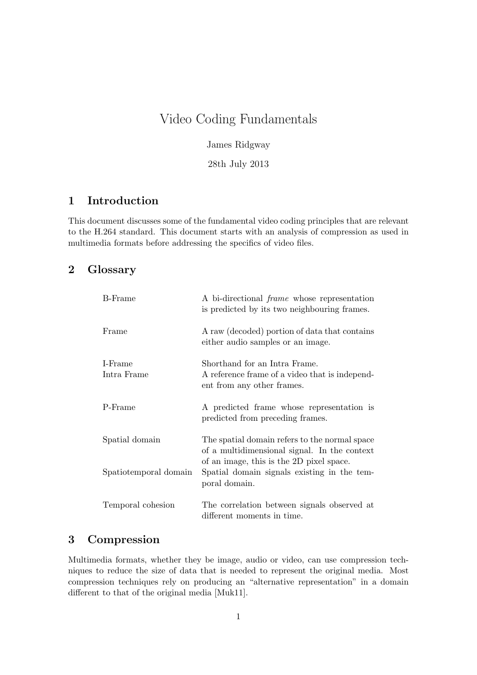# Video Coding Fundamentals

James Ridgway

28th July 2013

## **1 Introduction**

This document discusses some of the fundamental video coding principles that are relevant to the H.264 standard. This document starts with an analysis of compression as used in multimedia formats before addressing the specifics of video files.

### **2 Glossary**

| <b>B</b> -Frame        | A bi-directional <i>frame</i> whose representation<br>is predicted by its two neighbouring frames.                                        |
|------------------------|-------------------------------------------------------------------------------------------------------------------------------------------|
| Frame                  | A raw (decoded) portion of data that contains<br>either audio samples or an image.                                                        |
| I-Frame<br>Intra Frame | Shorthand for an Intra Frame.<br>A reference frame of a video that is independ-<br>ent from any other frames.                             |
| P-Frame                | A predicted frame whose representation is<br>predicted from preceding frames.                                                             |
| Spatial domain         | The spatial domain refers to the normal space<br>of a multidimensional signal. In the context<br>of an image, this is the 2D pixel space. |
| Spatiotemporal domain  | Spatial domain signals existing in the tem-<br>poral domain.                                                                              |
| Temporal cohesion      | The correlation between signals observed at<br>different moments in time.                                                                 |

### **3 Compression**

Multimedia formats, whether they be image, audio or video, can use compression techniques to reduce the size of data that is needed to represent the original media. Most compression techniques rely on producing an "alternative representation" in a domain different to that of the original media [Muk11].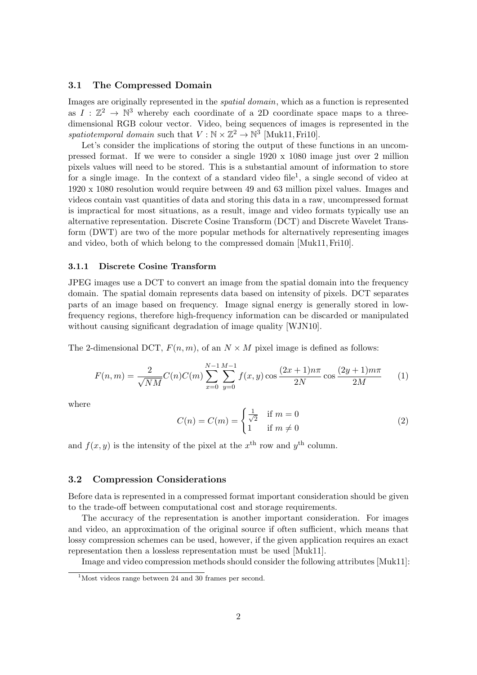#### **3.1 The Compressed Domain**

Images are originally represented in the *spatial domain*, which as a function is represented as  $I: \mathbb{Z}^2 \to \mathbb{N}^3$  whereby each coordinate of a 2D coordinate space maps to a threedimensional RGB colour vector. Video, being sequences of images is represented in the spatiotemporal domain such that  $V : \mathbb{N} \times \mathbb{Z}^2 \to \mathbb{N}^3$  [Muk11, Fri10].

Let's consider the implications of storing the output of these functions in an uncompressed format. If we were to consider a single 1920 x 1080 image just over 2 million pixels values will need to be stored. This is a substantial amount of information to store for a single image. In the context of a standard video file<sup>1</sup>, a single second of video at 1920 x 1080 resolution would require between 49 and 63 million pixel values. Images and videos contain vast quantities of data and storing this data in a raw, uncompressed format is impractical for most situations, as a result, image and video formats typically use an alternative representation. Discrete Cosine Transform (DCT) and Discrete Wavelet Transform (DWT) are two of the more popular methods for alternatively representing images and video, both of which belong to the compressed domain [Muk11,Fri10].

#### **3.1.1 Discrete Cosine Transform**

JPEG images use a DCT to convert an image from the spatial domain into the frequency domain. The spatial domain represents data based on intensity of pixels. DCT separates parts of an image based on frequency. Image signal energy is generally stored in lowfrequency regions, therefore high-frequency information can be discarded or manipulated without causing significant degradation of image quality [WJN10].

The 2-dimensional DCT,  $F(n, m)$ , of an  $N \times M$  pixel image is defined as follows:

$$
F(n,m) = \frac{2}{\sqrt{NM}} C(n)C(m) \sum_{x=0}^{N-1} \sum_{y=0}^{M-1} f(x,y) \cos \frac{(2x+1)n\pi}{2N} \cos \frac{(2y+1)m\pi}{2M}
$$
 (1)

where

$$
C(n) = C(m) = \begin{cases} \frac{1}{\sqrt{2}} & \text{if } m = 0\\ 1 & \text{if } m \neq 0 \end{cases}
$$
 (2)

and  $f(x, y)$  is the intensity of the pixel at the  $x^{\text{th}}$  row and  $y^{\text{th}}$  column.

#### **3.2 Compression Considerations**

Before data is represented in a compressed format important consideration should be given to the trade-off between computational cost and storage requirements.

The accuracy of the representation is another important consideration. For images and video, an approximation of the original source if often sufficient, which means that lossy compression schemes can be used, however, if the given application requires an exact representation then a lossless representation must be used [Muk11].

Image and video compression methods should consider the following attributes [Muk11]:

<sup>&</sup>lt;sup>1</sup>Most videos range between 24 and 30 frames per second.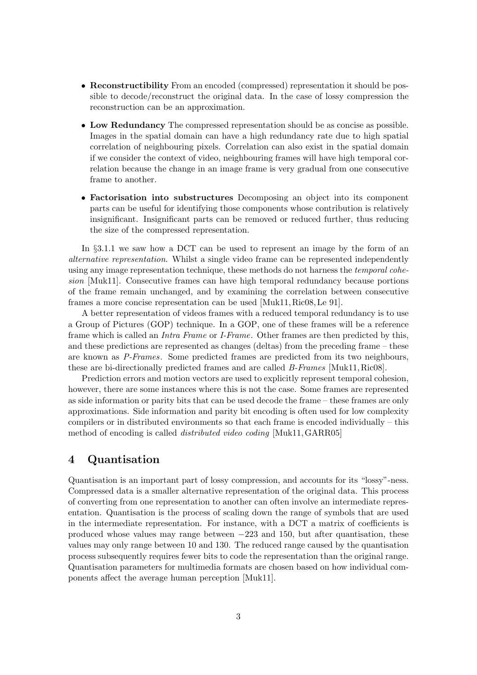- *•* **Reconstructibility** From an encoded (compressed) representation it should be possible to decode/reconstruct the original data. In the case of lossy compression the reconstruction can be an approximation.
- *•* **Low Redundancy** The compressed representation should be as concise as possible. Images in the spatial domain can have a high redundancy rate due to high spatial correlation of neighbouring pixels. Correlation can also exist in the spatial domain if we consider the context of video, neighbouring frames will have high temporal correlation because the change in an image frame is very gradual from one consecutive frame to another.
- *•* **Factorisation into substructures** Decomposing an object into its component parts can be useful for identifying those components whose contribution is relatively insignificant. Insignificant parts can be removed or reduced further, thus reducing the size of the compressed representation.

In *§*3.1.1 we saw how a DCT can be used to represent an image by the form of an *alternative representation*. Whilst a single video frame can be represented independently using any image representation technique, these methods do not harness the *temporal cohesion* [Muk11]. Consecutive frames can have high temporal redundancy because portions of the frame remain unchanged, and by examining the correlation between consecutive frames a more concise representation can be used [Muk11, Ric08, Le 91].

A better representation of videos frames with a reduced temporal redundancy is to use a Group of Pictures (GOP) technique. In a GOP, one of these frames will be a reference frame which is called an *Intra Frame* or *I-Frame*. Other frames are then predicted by this, and these predictions are represented as changes (deltas) from the preceding frame – these are known as *P-Frames*. Some predicted frames are predicted from its two neighbours, these are bi-directionally predicted frames and are called *B-Frames* [Muk11, Ric08].

Prediction errors and motion vectors are used to explicitly represent temporal cohesion, however, there are some instances where this is not the case. Some frames are represented as side information or parity bits that can be used decode the frame – these frames are only approximations. Side information and parity bit encoding is often used for low complexity compilers or in distributed environments so that each frame is encoded individually – this method of encoding is called *distributed video coding* [Muk11,GARR05]

### **4 Quantisation**

Quantisation is an important part of lossy compression, and accounts for its "lossy"-ness. Compressed data is a smaller alternative representation of the original data. This process of converting from one representation to another can often involve an intermediate representation. Quantisation is the process of scaling down the range of symbols that are used in the intermediate representation. For instance, with a DCT a matrix of coefficients is produced whose values may range between *−*223 and 150, but after quantisation, these values may only range between 10 and 130. The reduced range caused by the quantisation process subsequently requires fewer bits to code the representation than the original range. Quantisation parameters for multimedia formats are chosen based on how individual components affect the average human perception [Muk11].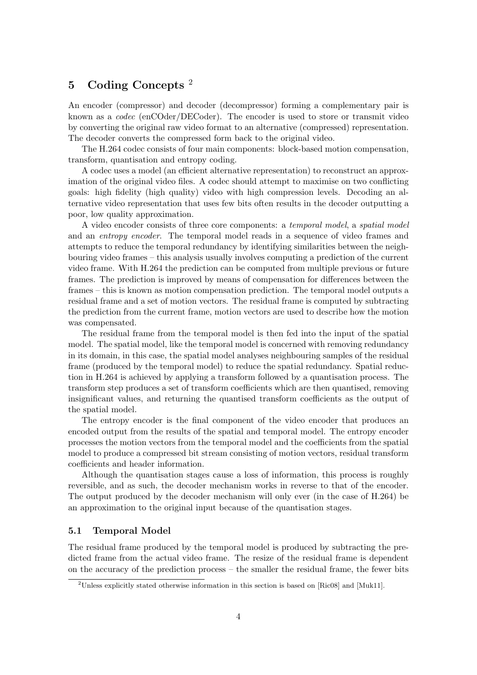# **5 Coding Concepts** <sup>2</sup>

An encoder (compressor) and decoder (decompressor) forming a complementary pair is known as a *codec* (enCOder/DECoder). The encoder is used to store or transmit video by converting the original raw video format to an alternative (compressed) representation. The decoder converts the compressed form back to the original video.

The H.264 codec consists of four main components: block-based motion compensation, transform, quantisation and entropy coding.

A codec uses a model (an efficient alternative representation) to reconstruct an approximation of the original video files. A codec should attempt to maximise on two conflicting goals: high fidelity (high quality) video with high compression levels. Decoding an alternative video representation that uses few bits often results in the decoder outputting a poor, low quality approximation.

A video encoder consists of three core components: a *temporal model*, a *spatial model* and an *entropy encoder*. The temporal model reads in a sequence of video frames and attempts to reduce the temporal redundancy by identifying similarities between the neighbouring video frames – this analysis usually involves computing a prediction of the current video frame. With H.264 the prediction can be computed from multiple previous or future frames. The prediction is improved by means of compensation for differences between the frames – this is known as motion compensation prediction. The temporal model outputs a residual frame and a set of motion vectors. The residual frame is computed by subtracting the prediction from the current frame, motion vectors are used to describe how the motion was compensated.

The residual frame from the temporal model is then fed into the input of the spatial model. The spatial model, like the temporal model is concerned with removing redundancy in its domain, in this case, the spatial model analyses neighbouring samples of the residual frame (produced by the temporal model) to reduce the spatial redundancy. Spatial reduction in H.264 is achieved by applying a transform followed by a quantisation process. The transform step produces a set of transform coefficients which are then quantised, removing insignificant values, and returning the quantised transform coefficients as the output of the spatial model.

The entropy encoder is the final component of the video encoder that produces an encoded output from the results of the spatial and temporal model. The entropy encoder processes the motion vectors from the temporal model and the coefficients from the spatial model to produce a compressed bit stream consisting of motion vectors, residual transform coefficients and header information.

Although the quantisation stages cause a loss of information, this process is roughly reversible, and as such, the decoder mechanism works in reverse to that of the encoder. The output produced by the decoder mechanism will only ever (in the case of H.264) be an approximation to the original input because of the quantisation stages.

#### **5.1 Temporal Model**

The residual frame produced by the temporal model is produced by subtracting the predicted frame from the actual video frame. The resize of the residual frame is dependent on the accuracy of the prediction process – the smaller the residual frame, the fewer bits

<sup>2</sup>Unless explicitly stated otherwise information in this section is based on [Ric08] and [Muk11].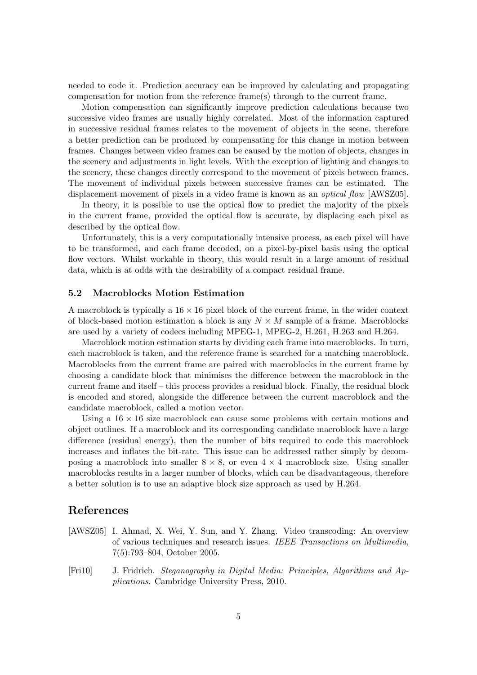needed to code it. Prediction accuracy can be improved by calculating and propagating compensation for motion from the reference frame(s) through to the current frame.

Motion compensation can significantly improve prediction calculations because two successive video frames are usually highly correlated. Most of the information captured in successive residual frames relates to the movement of objects in the scene, therefore a better prediction can be produced by compensating for this change in motion between frames. Changes between video frames can be caused by the motion of objects, changes in the scenery and adjustments in light levels. With the exception of lighting and changes to the scenery, these changes directly correspond to the movement of pixels between frames. The movement of individual pixels between successive frames can be estimated. The displacement movement of pixels in a video frame is known as an *optical flow* [AWSZ05].

In theory, it is possible to use the optical flow to predict the majority of the pixels in the current frame, provided the optical flow is accurate, by displacing each pixel as described by the optical flow.

Unfortunately, this is a very computationally intensive process, as each pixel will have to be transformed, and each frame decoded, on a pixel-by-pixel basis using the optical flow vectors. Whilst workable in theory, this would result in a large amount of residual data, which is at odds with the desirability of a compact residual frame.

#### **5.2 Macroblocks Motion Estimation**

A macroblock is typically a  $16 \times 16$  pixel block of the current frame, in the wider context of block-based motion estimation a block is any *N × M* sample of a frame. Macroblocks are used by a variety of codecs including MPEG-1, MPEG-2, H.261, H.263 and H.264.

Macroblock motion estimation starts by dividing each frame into macroblocks. In turn, each macroblock is taken, and the reference frame is searched for a matching macroblock. Macroblocks from the current frame are paired with macroblocks in the current frame by choosing a candidate block that minimises the difference between the macroblock in the current frame and itself – this process provides a residual block. Finally, the residual block is encoded and stored, alongside the difference between the current macroblock and the candidate macroblock, called a motion vector.

Using a  $16 \times 16$  size macroblock can cause some problems with certain motions and object outlines. If a macroblock and its corresponding candidate macroblock have a large difference (residual energy), then the number of bits required to code this macroblock increases and inflates the bit-rate. This issue can be addressed rather simply by decomposing a macroblock into smaller  $8 \times 8$ , or even  $4 \times 4$  macroblock size. Using smaller macroblocks results in a larger number of blocks, which can be disadvantageous, therefore a better solution is to use an adaptive block size approach as used by H.264.

### **References**

- [AWSZ05] I. Ahmad, X. Wei, Y. Sun, and Y. Zhang. Video transcoding: An overview of various techniques and research issues. *IEEE Transactions on Multimedia*, 7(5):793–804, October 2005.
- [Fri10] J. Fridrich. *Steganography in Digital Media: Principles, Algorithms and Applications*. Cambridge University Press, 2010.